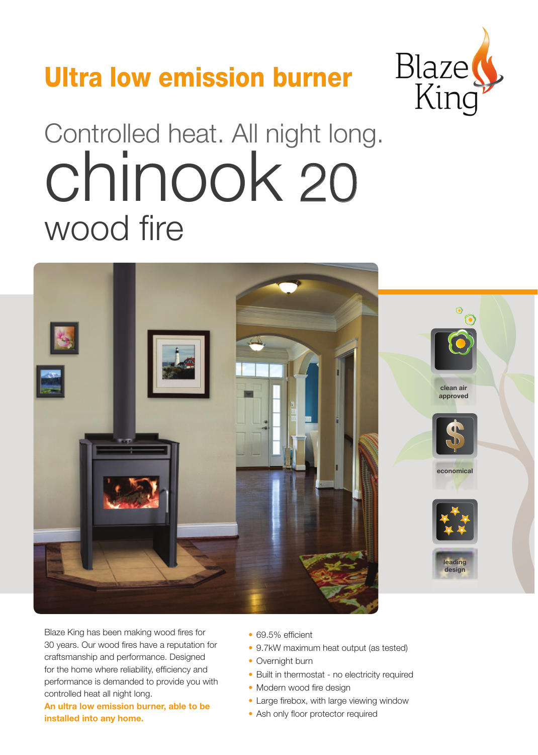## Ultra low emission burner



# Controlled heat. All night long. wood fire chinook 20



Blaze King has been making wood fires for 30 years. Our wood fires have a reputation for craftsmanship and performance. Designed for the home where reliability, efficiency and performance is demanded to provide you with controlled heat all night long.

**An ultra low emission burner, able to be installed into any home.**

- 69.5% efficient
- 9.7kW maximum heat output (as tested)
- Overnight burn
- Built in thermostat no electricity required
- Modern wood fire design
- Large firebox, with large viewing window
- Ash only floor protector required